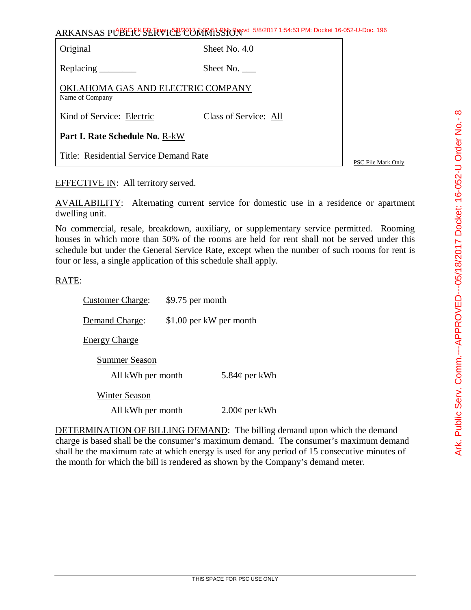| ARKANSAS PUBLIC SERVICE COMMISSION 5/8/2017 1:54:53 PM: Docket 16-052-U-Doc. 196 |                       |
|----------------------------------------------------------------------------------|-----------------------|
| Original                                                                         | Sheet No. 4.0         |
|                                                                                  | Sheet No.             |
| OKLAHOMA GAS AND ELECTRIC COMPANY<br>Name of Company                             |                       |
| Kind of Service: Electric                                                        | Class of Service: All |

AVAILABILITY: Alternating current service for domestic use in a residence or apartment

No commercial, resale, breakdown, auxiliary, or supplementary service permitted. Rooming houses in which more than 50% of the rooms are held for rent shall not be served under this schedule but under the General Service Rate, except when the number of such rooms for rent is

Customer Charge: \$9.75 per month Demand Charge: \$1.00 per kW per month

Energy Charge

**Part I. Rate Schedule No.** R-kW

EFFECTIVE IN: All territory served.

dwelling unit.

RATE:

Title: Residential Service Demand Rate

Summer Season All kWh per month  $5.84¢$  per kWh

four or less, a single application of this schedule shall apply.

Winter Season

All kWh per month  $2.00¢$  per kWh

DETERMINATION OF BILLING DEMAND: The billing demand upon which the demand charge is based shall be the consumer's maximum demand. The consumer's maximum demand shall be the maximum rate at which energy is used for any period of 15 consecutive minutes of the month for which the bill is rendered as shown by the Company's demand meter.

 $\infty$ 

PSC File Mark Only